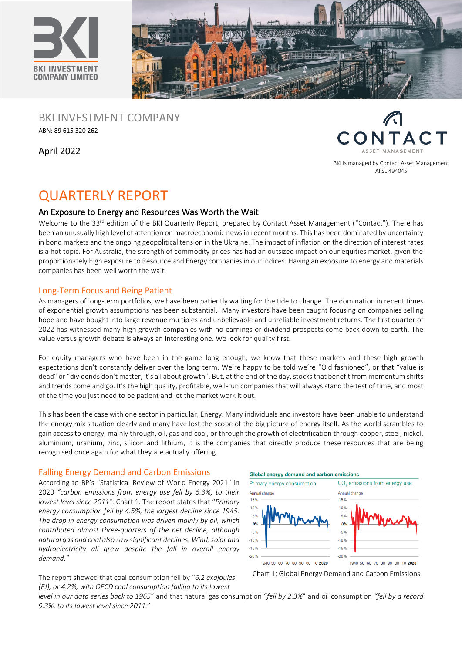



BKI INVESTMENT COMPANY ABN: 89 615 320 262

April 2022



BKI is managed by Contact Asset Management AFSL 494045

# QUARTERLY REPORT

# An Exposure to Energy and Resources Was Worth the Wait

Welcome to the 33<sup>rd</sup> edition of the BKI Quarterly Report, prepared by Contact Asset Management ("Contact"). There has been an unusually high level of attention on macroeconomic news in recent months. This has been dominated by uncertainty in bond markets and the ongoing geopolitical tension in the Ukraine. The impact of inflation on the direction of interest rates is a hot topic. For Australia, the strength of commodity prices has had an outsized impact on our equities market, given the proportionately high exposure to Resource and Energy companies in our indices. Having an exposure to energy and materials companies has been well worth the wait.

# Long-Term Focus and Being Patient

As managers of long-term portfolios, we have been patiently waiting for the tide to change. The domination in recent times of exponential growth assumptions has been substantial. Many investors have been caught focusing on companies selling hope and have bought into large revenue multiples and unbelievable and unreliable investment returns. The first quarter of 2022 has witnessed many high growth companies with no earnings or dividend prospects come back down to earth. The value versus growth debate is always an interesting one. We look for quality first.

For equity managers who have been in the game long enough, we know that these markets and these high growth expectations don't constantly deliver over the long term. We're happy to be told we're "Old fashioned", or that "value is dead" or "dividends don't matter, it's all about growth". But, at the end of the day, stocks that benefit from momentum shifts and trends come and go. It's the high quality, profitable, well-run companies that will always stand the test of time, and most of the time you just need to be patient and let the market work it out.

This has been the case with one sector in particular, Energy. Many individuals and investors have been unable to understand the energy mix situation clearly and many have lost the scope of the big picture of energy itself. As the world scrambles to gain access to energy, mainly through, oil, gas and coal, or through the growth of electrification through copper, steel, nickel, aluminium, uranium, zinc, silicon and lithium, it is the companies that directly produce these resources that are being recognised once again for what they are actually offering.

# Falling Energy Demand and Carbon Emissions

According to BP's "Statistical Review of World Energy 2021" in 2020 *"carbon emissions from energy use fell by 6.3%, to their lowest level since 2011".* Chart 1. The report states that "*Primary energy consumption fell by 4.5%, the largest decline since 1945. The drop in energy consumption was driven mainly by oil, which contributed almost three-quarters of the net decline, although natural gas and coal also saw significant declines. Wind, solar and hydroelectricity all grew despite the fall in overall energy demand."*





The report showed that coal consumption fell by "*6.2 exajoules (EJ), or 4.2%, with OECD coal consumption falling to its lowest* 

*level in our data series back to 1965*" and that natural gas consumption "*fell by 2.3%*" and oil consumption *"fell by a record 9.3%, to its lowest level since 2011.*"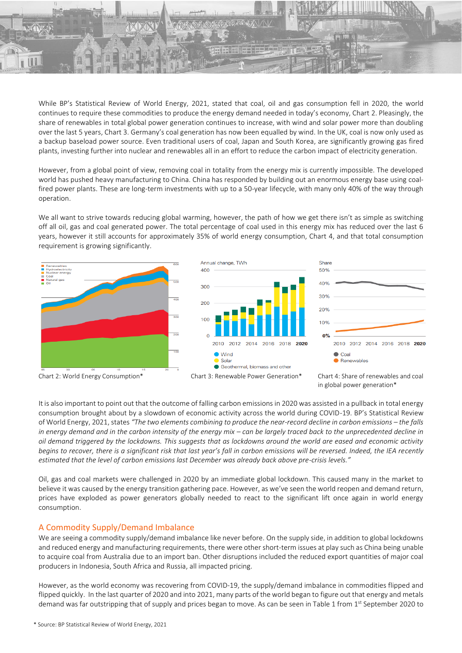

While BP's Statistical Review of World Energy, 2021, stated that coal, oil and gas consumption fell in 2020, the world continues to require these commodities to produce the energy demand needed in today's economy, Chart 2. Pleasingly, the share of renewables in total global power generation continues to increase, with wind and solar power more than doubling over the last 5 years, Chart 3. Germany's coal generation has now been equalled by wind. In the UK, coal is now only used as a backup baseload power source. Even traditional users of coal, Japan and South Korea, are significantly growing gas fired plants, investing further into nuclear and renewables all in an effort to reduce the carbon impact of electricity generation.

However, from a global point of view, removing coal in totality from the energy mix is currently impossible. The developed world has pushed heavy manufacturing to China. China has responded by building out an enormous energy base using coalfired power plants. These are long-term investments with up to a 50-year lifecycle, with many only 40% of the way through operation.

We all want to strive towards reducing global warming, however, the path of how we get there isn't as simple as switching off all oil, gas and coal generated power. The total percentage of coal used in this energy mix has reduced over the last 6 years, however it still accounts for approximately 35% of world energy consumption, Chart 4, and that total consumption requirement is growing significantly.



It is also important to point out that the outcome of falling carbon emissions in 2020 was assisted in a pullback in total energy consumption brought about by a slowdown of economic activity across the world during COVID-19. BP's Statistical Review of World Energy, 2021, states *"The two elements combining to produce the near-record decline in carbon emissions – the falls in energy demand and in the carbon intensity of the energy mix – can be largely traced back to the unprecedented decline in oil demand triggered by the lockdowns. This suggests that as lockdowns around the world are eased and economic activity begins to recover, there is a significant risk that last year's fall in carbon emissions will be reversed. Indeed, the IEA recently estimated that the level of carbon emissions last December was already back above pre-crisis levels."*

Oil, gas and coal markets were challenged in 2020 by an immediate global lockdown. This caused many in the market to believe it was caused by the energy transition gathering pace. However, as we've seen the world reopen and demand return, prices have exploded as power generators globally needed to react to the significant lift once again in world energy consumption.

# A Commodity Supply/Demand Imbalance

We are seeing a commodity supply/demand imbalance like never before. On the supply side, in addition to global lockdowns and reduced energy and manufacturing requirements, there were other short-term issues at play such as China being unable to acquire coal from Australia due to an import ban. Other disruptions included the reduced export quantities of major coal producers in Indonesia, South Africa and Russia, all impacted pricing.

However, as the world economy was recovering from COVID-19, the supply/demand imbalance in commodities flipped and flipped quickly. In the last quarter of 2020 and into 2021, many parts of the world began to figure out that energy and metals demand was far outstripping that of supply and prices began to move. As can be seen in Table 1 from 1<sup>st</sup> September 2020 to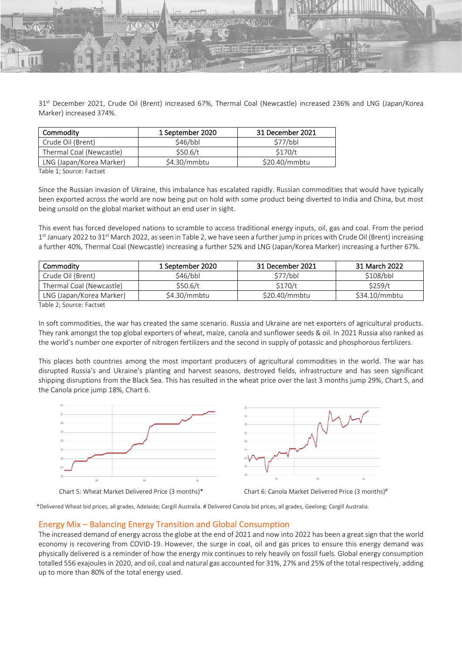31st December 2021, Crude Oil (Brent) increased 67%, Thermal Coal (Newcastle) increased 236% and LNG (Japan/Korea Marker) increased 374%.

| Commodity                | 1 September 2020 | 31 December 2021 |
|--------------------------|------------------|------------------|
| Crude Oil (Brent)        | 546/bbl          | 577/bbl          |
| Thermal Coal (Newcastle) | \$50.6/t\$       | \$170/t          |
| LNG (Japan/Korea Marker) | \$4.30/mmbtu     | \$20.40/mmbtu    |

Table 1; Source: Factset

Since the Russian invasion of Ukraine, this imbalance has escalated rapidly. Russian commodities that would have typically been exported across the world are now being put on hold with some product being diverted to India and China, but most being unsold on the global market without an end user in sight.

This event has forced developed nations to scramble to access traditional energy inputs, oil, gas and coal. From the period 1<sup>st</sup> January 2022 to 31<sup>st</sup> March 2022, as seen in Table 2, we have seen a further jump in prices with Crude Oil (Brent) increasing a further 40%, Thermal Coal (Newcastle) increasing a further 52% and LNG (Japan/Korea Marker) increasing a further 67%.

| Commodity                | 1 September 2020 | 31 December 2021 | 31 March 2022 |
|--------------------------|------------------|------------------|---------------|
| Crude Oil (Brent)        | \$46/bbl         | 577/bbl          | \$108/bbl     |
| Thermal Coal (Newcastle) | \$50.6/t         | \$170/t          | \$259/t       |
| LNG (Japan/Korea Marker) | \$4.30/mmbtu     | \$20.40/mmbtu    | \$34.10/mmbtu |

Table 2; Source: Factset

In soft commodities, the war has created the same scenario. Russia and Ukraine are net exporters of agricultural products. They rank amongst the top global exporters of wheat, maize, canola and sunflower seeds & oil. In 2021 Russia also ranked as the world's number one exporter of nitrogen fertilizers and the second in supply of potassic and phosphorous fertilizers.

This places both countries among the most important producers of agricultural commodities in the world. The war has disrupted Russia's and Ukraine's planting and harvest seasons, destroyed fields, infrastructure and has seen significant shipping disruptions from the Black Sea. This has resulted in the wheat price over the last 3 months jump 29%, Chart 5, and the Canola price jump 18%, Chart 6.





\*Delivered Wheat bid prices, all grades, Adelaide; Cargill Australia. # Delivered Canola bid prices, all grades, Geelong; Cargill Australia.

## Energy Mix – Balancing Energy Transition and Global Consumption

The increased demand of energy across the globe at the end of 2021 and now into 2022 has been a great sign that the world economy is recovering from COVID-19. However, the surge in coal, oil and gas prices to ensure this energy demand was physically delivered is a reminder of how the energy mix continues to rely heavily on fossil fuels. Global energy consumption totalled 556 exajoules in 2020, and oil, coal and natural gas accounted for 31%, 27% and 25% of the total respectively, adding up to more than 80% of the total energy used.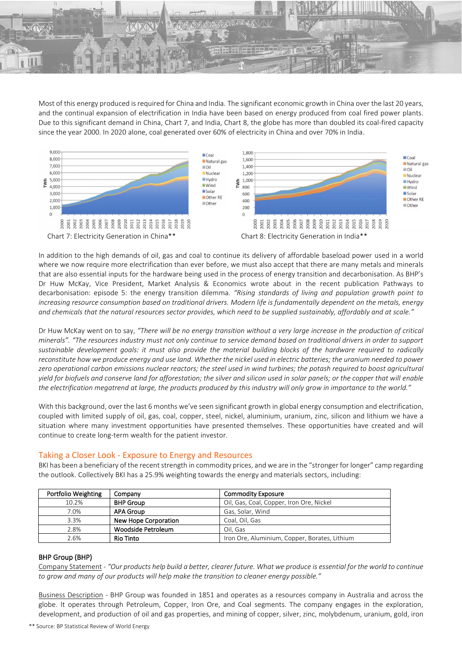

Most of this energy produced is required for China and India. The significant economic growth in China over the last 20 years, and the continual expansion of electrification in India have been based on energy produced from coal fired power plants. Due to this significant demand in China, Chart 7, and India, Chart 8, the globe has more than doubled its coal-fired capacity since the year 2000. In 2020 alone, coal generated over 60% of electricity in China and over 70% in India.



In addition to the high demands of oil, gas and coal to continue its delivery of affordable baseload power used in a world where we now require more electrification than ever before, we must also accept that there are many metals and minerals that are also essential inputs for the hardware being used in the process of energy transition and decarbonisation. As BHP's Dr Huw McKay, Vice President, Market Analysis & Economics wrote about in the recent publication Pathways to decarbonisation: episode 5: the energy transition dilemma. *"Rising standards of living and population growth point to increasing resource consumption based on traditional drivers. Modern life is fundamentally dependent on the metals, energy and chemicals that the natural resources sector provides, which need to be supplied sustainably, affordably and at scale."*

Dr Huw McKay went on to say, *"There will be no energy transition without a very large increase in the production of critical minerals". "The resources industry must not only continue to service demand based on traditional drivers in order to support sustainable development goals: it must also provide the material building blocks of the hardware required to radically reconstitute how we produce energy and use land. Whether the nickel used in electric batteries; the uranium needed to power zero operational carbon emissions nuclear reactors; the steel used in wind turbines; the potash required to boost agricultural yield for biofuels and conserve land for afforestation; the silver and silicon used in solar panels; or the copper that will enable the electrification megatrend at large, the products produced by this industry will only grow in importance to the world."*

With this background, over the last 6 months we've seen significant growth in global energy consumption and electrification, coupled with limited supply of oil, gas, coal, copper, steel, nickel, aluminium, uranium, zinc, silicon and lithium we have a situation where many investment opportunities have presented themselves. These opportunities have created and will continue to create long-term wealth for the patient investor.

# Taking a Closer Look - Exposure to Energy and Resources

BKI has been a beneficiary of the recent strength in commodity prices, and we are in the "stronger for longer" camp regarding the outlook. Collectively BKI has a 25.9% weighting towards the energy and materials sectors, including:

| Portfolio Weighting | Company              | <b>Commodity Exposure</b>                     |
|---------------------|----------------------|-----------------------------------------------|
| 10.2%               | <b>BHP Group</b>     | Oil, Gas, Coal, Copper, Iron Ore, Nickel      |
| 7.0%                | <b>APA Group</b>     | Gas, Solar, Wind                              |
| 3.3%                | New Hope Corporation | Coal, Oil, Gas                                |
| 2.8%                | Woodside Petroleum   | Oil. Gas                                      |
| 2.6%                | <b>Rio Tinto</b>     | Iron Ore, Aluminium, Copper, Borates, Lithium |

## BHP Group (BHP)

Company Statement - *"Our products help build a better, clearer future. What we produce is essential for the world to continue to grow and many of our products will help make the transition to cleaner energy possible."* 

Business Description - BHP Group was founded in 1851 and operates as a resources company in Australia and across the globe. It operates through Petroleum, Copper, Iron Ore, and Coal segments. The company engages in the exploration, development, and production of oil and gas properties, and mining of copper, silver, zinc, molybdenum, uranium, gold, iron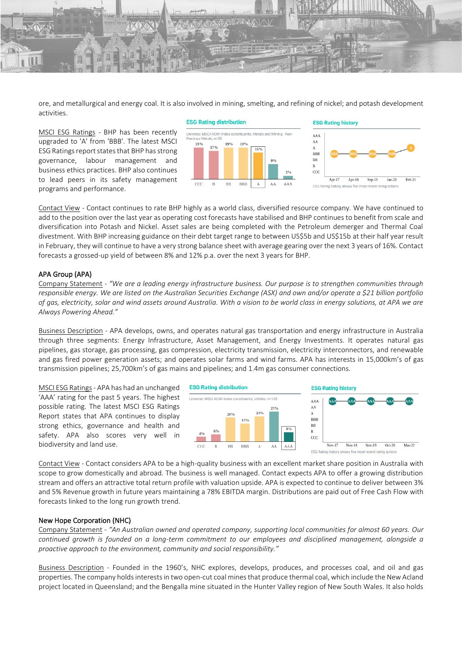ore, and metallurgical and energy coal. It is also involved in mining, smelting, and refining of nickel; and potash development activities.

MSCI ESG Ratings - BHP has been recently upgraded to 'A' from 'BBB'. The latest MSCI ESG Ratings report states that BHP has strong governance, labour management and business ethics practices. BHP also continues to lead peers in its safety management programs and performance.





Contact View - Contact continues to rate BHP highly as a world class, diversified resource company. We have continued to add to the position over the last year as operating cost forecasts have stabilised and BHP continues to benefit from scale and diversification into Potash and Nickel. Asset sales are being completed with the Petroleum demerger and Thermal Coal divestment. With BHP increasing guidance on their debt target range to between US\$5b and US\$15b at their half year result in February, they will continue to have a very strong balance sheet with average gearing over the next 3 years of 16%. Contact forecasts a grossed-up yield of between 8% and 12% p.a. over the next 3 years for BHP.

#### APA Group (APA)

Company Statement - *"We are a leading energy infrastructure business. Our purpose is to strengthen communities through responsible energy. We are listed on the Australian Securities Exchange (ASX) and own and/or operate a \$21 billion portfolio of gas, electricity, solar and wind assets around Australia. With a vision to be world class in energy solutions, at APA we are Always Powering Ahead."* 

Business Description - APA develops, owns, and operates natural gas transportation and energy infrastructure in Australia through three segments: Energy Infrastructure, Asset Management, and Energy Investments. It operates natural gas pipelines, gas storage, gas processing, gas compression, electricity transmission, electricity interconnectors, and renewable and gas fired power generation assets; and operates solar farms and wind farms. APA has interests in 15,000km's of gas transmission pipelines; 25,700km's of gas mains and pipelines; and 1.4m gas consumer connections.

MSCI ESG Ratings- APA has had an unchanged 'AAA' rating for the past 5 years. The highest possible rating. The latest MSCI ESG Ratings Report states that APA continues to display strong ethics, governance and health and safety. APA also scores very well in biodiversity and land use.



Contact View - Contact considers APA to be a high-quality business with an excellent market share position in Australia with scope to grow domestically and abroad. The business is well managed. Contact expects APA to offer a growing distribution stream and offers an attractive total return profile with valuation upside. APA is expected to continue to deliver between 3% and 5% Revenue growth in future years maintaining a 78% EBITDA margin. Distributions are paid out of Free Cash Flow with forecasts linked to the long run growth trend.

#### New Hope Corporation (NHC)

Company Statement - *"An Australian owned and operated company, supporting local communities for almost 60 years. Our continued growth is founded on a long-term commitment to our employees and disciplined management, alongside a proactive approach to the environment, community and social responsibility."* 

Business Description - Founded in the 1960's, NHC explores, develops, produces, and processes coal, and oil and gas properties. The company holdsinterests in two open-cut coal mines that produce thermal coal, which include the New Acland project located in Queensland; and the Bengalla mine situated in the Hunter Valley region of New South Wales. It also holds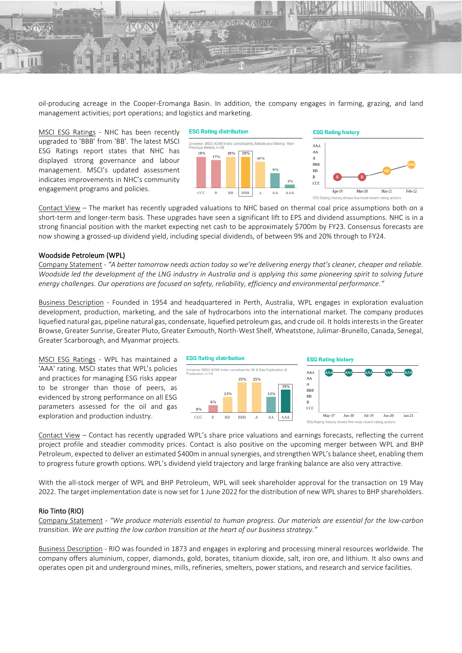

oil-producing acreage in the Cooper-Eromanga Basin. In addition, the company engages in farming, grazing, and land management activities; port operations; and logistics and marketing.

MSCI ESG Ratings - NHC has been recently upgraded to 'BBB' from 'BB'. The latest MSCI ESG Ratings report states that NHC has displayed strong governance and labour management. MSCI's updated assessment indicates improvements in NHC's community engagement programs and policies.



Contact View – The market has recently upgraded valuations to NHC based on thermal coal price assumptions both on a short-term and longer-term basis. These upgrades have seen a significant lift to EPS and dividend assumptions. NHC is in a strong financial position with the market expecting net cash to be approximately \$700m by FY23. Consensus forecasts are now showing a grossed-up dividend yield, including special dividends, of between 9% and 20% through to FY24.

#### Woodside Petroleum (WPL)

Company Statement - *"A better tomorrow needs action today so we're delivering energy that's cleaner, cheaper and reliable. Woodside led the development of the LNG industry in Australia and is applying this same pioneering spirit to solving future energy challenges. Our operations are focused on safety, reliability, efficiency and environmental performance."* 

Business Description - Founded in 1954 and headquartered in Perth, Australia, WPL engages in exploration evaluation development, production, marketing, and the sale of hydrocarbons into the international market. The company produces liquefied natural gas, pipeline natural gas, condensate, liquefied petroleum gas, and crude oil. It holds interests in the Greater Browse, Greater Sunrise, Greater Pluto, Greater Exmouth, North-West Shelf, Wheatstone, Julimar-Brunello, Canada, Senegal, Greater Scarborough, and Myanmar projects.

MSCI ESG Ratings - WPL has maintained a 'AAA' rating. MSCI states that WPL's policies and practices for managing ESG risks appear to be stronger than those of peers, as evidenced by strong performance on all ESG parameters assessed for the oil and gas exploration and production industry.



Contact View – Contact has recently upgraded WPL's share price valuations and earnings forecasts, reflecting the current project profile and steadier commodity prices. Contact is also positive on the upcoming merger between WPL and BHP Petroleum, expected to deliver an estimated \$400m in annual synergies, and strengthen WPL's balance sheet, enabling them to progress future growth options. WPL's dividend yield trajectory and large franking balance are also very attractive.

With the all-stock merger of WPL and BHP Petroleum, WPL will seek shareholder approval for the transaction on 19 May 2022. The target implementation date is now set for 1 June 2022 for the distribution of new WPL shares to BHP shareholders.

#### Rio Tinto (RIO)

Company Statement - *"We produce materials essential to human progress. Our materials are essential for the low-carbon transition. We are putting the low carbon transition at the heart of our business strategy."* 

Business Description - RIO was founded in 1873 and engages in exploring and processing mineral resources worldwide. The company offers aluminium, copper, diamonds, gold, borates, titanium dioxide, salt, iron ore, and lithium. It also owns and operates open pit and underground mines, mills, refineries, smelters, power stations, and research and service facilities.